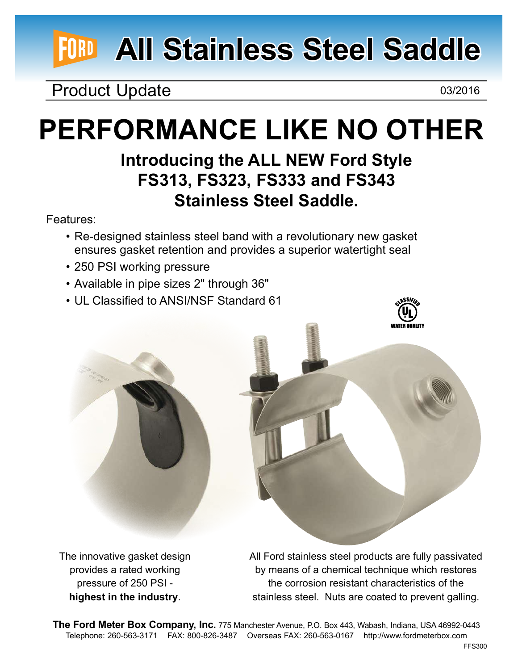# **All Stainless Steel Saddle**

### Product Update 03/2016

## **Performance like no other**

### **Introducing the ALL NEW Ford Style FS313, FS323, FS333 and FS343 Stainless Steel Saddle.**

Features:

- Re-designed stainless steel band with a revolutionary new gasket ensures gasket retention and provides a superior watertight seal
- 250 PSI working pressure
- • Available in pipe sizes 2" through 36"
- UL Classified to ANSI/NSF Standard 61





The innovative gasket design provides a rated working pressure of 250 PSI **highest in the industry**.

All Ford stainless steel products are fully passivated by means of a chemical technique which restores the corrosion resistant characteristics of the stainless steel. Nuts are coated to prevent galling.

**The Ford Meter Box Company, Inc.** 775 Manchester Avenue, P.O. Box 443, Wabash, Indiana, USA 46992-0443 Telephone: 260-563-3171 FAX: 800-826-3487 Overseas FAX: 260-563-0167 http://www.fordmeterbox.com